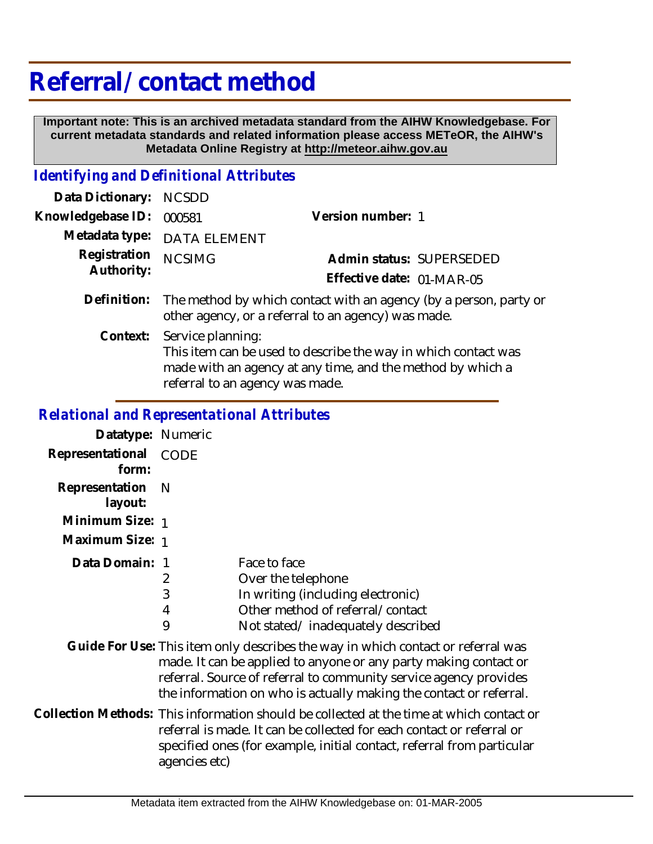# **Referral/ contact method**

 **Important note: This is an archived metadata standard from the AIHW Knowledgebase. For current metadata standards and related information please access METeOR, the AIHW's Metadata Online Registry at http://meteor.aihw.gov.au**

### *Identifying and Definitional Attributes*

| Data Dictionary:           | <b>NCSDD</b>                                                                                                                                                                         |                           |  |
|----------------------------|--------------------------------------------------------------------------------------------------------------------------------------------------------------------------------------|---------------------------|--|
| Knowledgebase ID:          | 000581                                                                                                                                                                               | Version number: 1         |  |
| Metadata type:             | <b>DATA ELEMENT</b>                                                                                                                                                                  |                           |  |
| Registration<br>Authority: | <b>NCSIMG</b>                                                                                                                                                                        | Admin status: SUPERSEDED  |  |
|                            |                                                                                                                                                                                      | Effective date: 01-MAR-05 |  |
| Definition:                | The method by which contact with an agency (by a person, party or<br>other agency, or a referral to an agency) was made.                                                             |                           |  |
| Context:                   | Service planning:<br>This item can be used to describe the way in which contact was<br>made with an agency at any time, and the method by which a<br>referral to an agency was made. |                           |  |

## *Relational and Representational Attributes*

| Datatype: Numeric         |                                                                                                                                                                                                                                                              |                                                                                                                                                                                                                                      |
|---------------------------|--------------------------------------------------------------------------------------------------------------------------------------------------------------------------------------------------------------------------------------------------------------|--------------------------------------------------------------------------------------------------------------------------------------------------------------------------------------------------------------------------------------|
| Representational<br>form: | CODE                                                                                                                                                                                                                                                         |                                                                                                                                                                                                                                      |
| Representation<br>layout: | -N                                                                                                                                                                                                                                                           |                                                                                                                                                                                                                                      |
| Minimum Size: 1           |                                                                                                                                                                                                                                                              |                                                                                                                                                                                                                                      |
| Maximum Size: 1           |                                                                                                                                                                                                                                                              |                                                                                                                                                                                                                                      |
| Data Domain: 1            | 2<br>3<br>4<br>9                                                                                                                                                                                                                                             | Face to face<br>Over the telephone<br>In writing (including electronic)<br>Other method of referral/contact<br>Not stated/inadequately described<br>Guide For Use: This item only describes the way in which contact or referral was |
|                           |                                                                                                                                                                                                                                                              | made. It can be applied to anyone or any party making contact or<br>referral. Source of referral to community service agency provides<br>the information on who is actually making the contact or referral.                          |
|                           | Collection Methods: This information should be collected at the time at which contact or<br>referral is made. It can be collected for each contact or referral or<br>specified ones (for example, initial contact, referral from particular<br>agencies etc) |                                                                                                                                                                                                                                      |